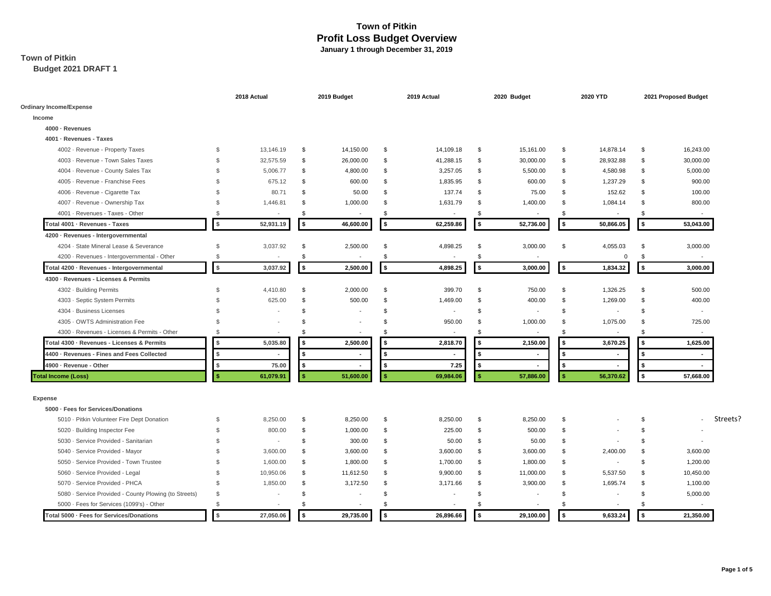# **Town of Pitkin**

**Budget 2021 DRAFT 1**

|                                                       |                | 2018 Actual              |        | 2019 Budget              |          | 2019 Actual    |              | 2020 Budget |                | 2020 YTD       | 2021 Proposed Budget |                                      |  |
|-------------------------------------------------------|----------------|--------------------------|--------|--------------------------|----------|----------------|--------------|-------------|----------------|----------------|----------------------|--------------------------------------|--|
| <b>Ordinary Income/Expense</b>                        |                |                          |        |                          |          |                |              |             |                |                |                      |                                      |  |
| Income                                                |                |                          |        |                          |          |                |              |             |                |                |                      |                                      |  |
| 4000 · Revenues                                       |                |                          |        |                          |          |                |              |             |                |                |                      |                                      |  |
| 4001 - Revenues - Taxes                               |                |                          |        |                          |          |                |              |             |                |                |                      |                                      |  |
| 4002 - Revenue - Property Taxes                       | \$             | 13,146.19                | \$     | 14,150.00                | \$       | 14,109.18      | \$           | 15,161.00   | \$             | 14,878.14      | \$                   | 16,243.00                            |  |
| 4003 - Revenue - Town Sales Taxes                     | $\mathbf{s}$   | 32,575.59                | \$     | 26,000.00                | \$       | 41,288.15      | \$           | 30,000.00   | \$             | 28,932.88      | \$                   | 30,000.00                            |  |
| 4004 · Revenue - County Sales Tax                     | \$             | 5,006.77                 | \$     | 4,800.00                 | \$       | 3,257.05       | \$           | 5,500.00    | \$             | 4,580.98       | \$                   | 5,000.00                             |  |
| 4005 - Revenue - Franchise Fees                       | $\mathbf{s}$   | 675.12                   | \$     | 600.00                   | \$       | 1,835.95       | \$           | 600.00      | \$             | 1,237.29       | $\mathbf{s}$         | 900.00                               |  |
| 4006 - Revenue - Cigarette Tax                        | \$.            | 80.71                    | \$     | 50.00                    | \$       | 137.74         | \$           | 75.00       | \$             | 152.62         | \$                   | 100.00                               |  |
| 4007 - Revenue - Ownership Tax                        | $\mathfrak{S}$ | 1,446.81                 | \$     | 1,000.00                 | \$       | 1,631.79       | \$           | 1,400.00    | \$             | 1,084.14       | \$                   | 800.00                               |  |
| 4001 - Revenues - Taxes - Other                       | $\mathbf{s}$   |                          | \$.    | $\overline{\phantom{a}}$ | \$.      |                | \$.          |             | $\mathfrak{L}$ |                | \$                   |                                      |  |
| Total 4001 · Revenues - Taxes                         | $\sqrt{2}$     | 52,931.19                | \$     | 46,600.00                | \$       | 62,259.86      | \$           | 52,736.00   | l \$           | 50,866.05      | \$                   | 53,043.00                            |  |
| 4200 · Revenues - Intergovernmental                   |                |                          |        |                          |          |                |              |             |                |                |                      |                                      |  |
| 4204 · State Mineral Lease & Severance                | $\mathcal{S}$  | 3,037.92                 | \$     | 2,500.00                 | \$       | 4,898.25       | \$           | 3,000.00    | \$             | 4,055.03       | \$                   | 3,000.00                             |  |
| 4200 · Revenues - Intergovernmental - Other           | $\mathbf{s}$   |                          | \$     | $\overline{\phantom{a}}$ | S        | $\blacksquare$ | \$           |             |                | $\mathbf 0$    | \$                   |                                      |  |
| Total 4200 · Revenues - Intergovernmental             | $$\mathsf{s}$$ | 3,037.92                 | \$     | 2,500.00                 | \$       | 4,898.25       | \$           | 3,000.00    | l \$           | 1,834.32       | \$                   | 3,000.00                             |  |
| 4300 · Revenues - Licenses & Permits                  |                |                          |        |                          |          |                |              |             |                |                |                      |                                      |  |
| 4302 - Building Permits                               | \$             | 4,410.80                 | \$     | 2,000.00                 | <b>S</b> | 399.70         | \$           | 750.00      | \$             | 1,326.25       | \$                   | 500.00                               |  |
| 4303 - Septic System Permits                          | $\mathcal{S}$  | 625.00                   | \$     | 500.00                   | \$       | 1,469.00       | \$           | 400.00      | \$             | 1,269.00       | \$                   | 400.00                               |  |
| 4304 · Business Licenses                              | \$.            |                          | \$     | $\sim$                   | \$       | $\sim$         | \$           | $\sim$      | \$             |                | \$                   | $\sim$                               |  |
| 4305 · OWTS Administration Fee                        | \$             |                          | \$     |                          | \$       | 950.00         | \$           | 1,000.00    | \$             | 1,075.00       | \$                   | 725.00                               |  |
| 4300 - Revenues - Licenses & Permits - Other          | $\mathbf{s}$   |                          | \$     |                          | \$.      |                | \$           |             | \$             |                | \$                   |                                      |  |
| Total 4300 · Revenues - Licenses & Permits            | \$             | 5,035.80                 |        | 2,500.00                 | S        | 2,818.70       | \$           | 2,150.00    | - \$           | 3,670.25       | \$                   | 1,625.00                             |  |
| 4400 · Revenues - Fines and Fees Collected            | \$             |                          |        | ٠                        |          | $\blacksquare$ | \$           |             | \$.            |                | \$                   |                                      |  |
| 4900 - Revenue - Other                                | \$             | 75.00                    | \$     | $\blacksquare$           | ŝ.       | 7.25           | \$           |             | $\sqrt{2}$     |                | \$                   | $\blacksquare$                       |  |
| <b>Total Income (Loss)</b>                            | -S             | 61,079.91                |        | 51,600.00                |          | 69,984.06      | $\mathbf{s}$ | 57,886.00   | l \$           | 56,370.62      | \$                   | 57,668.00                            |  |
| <b>Expense</b>                                        |                |                          |        |                          |          |                |              |             |                |                |                      |                                      |  |
| 5000 · Fees for Services/Donations                    |                |                          |        |                          |          |                |              |             |                |                |                      |                                      |  |
| 5010 - Pitkin Volunteer Fire Dept Donation            | \$             | 8,250.00                 | \$     | 8,250.00                 | \$       | 8,250.00       | \$           | 8,250.00    | \$             |                | \$                   | Streets?<br>$\overline{\phantom{a}}$ |  |
| 5020 · Building Inspector Fee                         | \$             | 800.00                   | \$     | 1,000.00                 | \$       | 225.00         | \$           | 500.00      | \$             |                | \$                   |                                      |  |
| 5030 - Service Provided - Sanitarian                  | $\mathfrak{S}$ | ٠                        | \$     | 300.00                   | \$       | 50.00          | \$           | 50.00       | \$             |                | $\mathbf{s}$         |                                      |  |
| 5040 - Service Provided - Mayor                       | $\mathcal{S}$  | 3,600.00                 | \$     | 3,600.00                 | \$       | 3,600.00       | \$           | 3,600.00    | \$             | 2,400.00       | $\mathbf{s}$         | 3,600.00                             |  |
| 5050 - Service Provided - Town Trustee                | $\mathbf{s}$   | 1,600.00                 | \$     | 1,800.00                 | \$       | 1,700.00       | \$           | 1,800.00    | \$             | $\blacksquare$ | \$                   | 1,200.00                             |  |
| 5060 · Service Provided - Legal                       | \$             | 10,950.06                | \$     | 11,612.50                | \$       | 9,900.00       | \$           | 11,000.00   | \$             | 5,537.50       | \$                   | 10,450.00                            |  |
| 5070 - Service Provided - PHCA                        | $\mathcal{S}$  | 1,850.00                 | \$     | 3,172.50                 | \$       | 3,171.66       | \$           | 3,900.00    | \$             | 1,695.74       | \$                   | 1,100.00                             |  |
| 5080 · Service Provided - County Plowing (to Streets) | \$             | $\overline{\phantom{a}}$ | \$     | ٠                        | \$       |                | \$           |             | \$             |                | $\mathsf{\$}$        | 5,000.00                             |  |
| 5000 · Fees for Services (1099's) - Other             | $\mathbf{s}$   |                          | \$     | $\blacksquare$           | \$.      |                | \$           |             | \$             |                | \$                   |                                      |  |
| Total 5000 · Fees for Services/Donations              | $\sqrt{2}$     | 27,050.06                | $\sim$ | 29,735.00                | \$       | 26,896.66      | \$           | 29,100.00   | l \$           | 9,633.24       | \$                   | 21,350.00                            |  |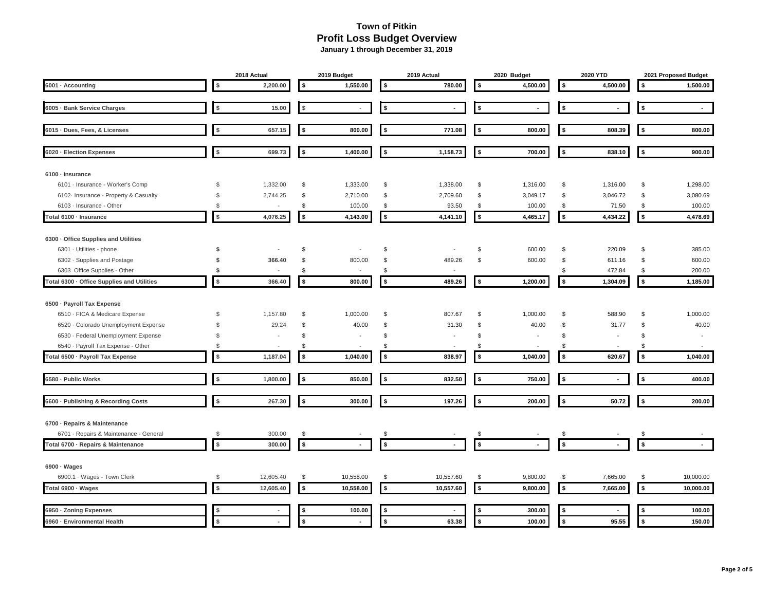|                                            |                | 2018 Actual              |            | 2019 Budget              |                    | 2019 Actual              | 2020 Budget |                          |    | 2020 YTD                 |            | 2021 Proposed Budget  |
|--------------------------------------------|----------------|--------------------------|------------|--------------------------|--------------------|--------------------------|-------------|--------------------------|----|--------------------------|------------|-----------------------|
| 6001 · Accounting                          | \$             | 2,200.00                 | \$         | 1,550.00                 | l \$               | 780.00                   | \$          | 4,500.00                 | \$ | 4,500.00                 | \$         | 1,500.00              |
|                                            |                |                          |            |                          |                    |                          |             |                          |    |                          |            |                       |
| 6005 · Bank Service Charges                | \$             | 15.00                    | \$         | $\overline{\phantom{a}}$ | $\sqrt{2}$         | $\blacksquare$           | -\$         | ÷.                       | \$ | $\blacksquare$           | $\sqrt{2}$ | $\tilde{\phantom{a}}$ |
| 6015 · Dues, Fees, & Licenses              | \$             | 657.15                   | \$         | 800.00                   | \$                 | 771.08                   | - \$        | 800.00                   | \$ | 808.39                   | \$         | 800.00                |
| 6020 · Election Expenses                   | \$             | 699.73                   | \$         | 1,400.00                 | \$                 | 1,158.73                 | -\$         | 700.00                   | \$ | 838.10                   | \$         | 900.00                |
| 6100 · Insurance                           |                |                          |            |                          |                    |                          |             |                          |    |                          |            |                       |
| 6101 - Insurance - Worker's Comp           | $$\mathbb{S}$$ | 1,332.00                 | \$         | 1,333.00                 | \$                 | 1,338.00                 | \$          | 1,316.00                 | \$ | 1,316.00                 | \$         | 1,298.00              |
| 6102 Insurance - Property & Casualty       | $\mathbb{S}$   | 2,744.25                 | \$         | 2,710.00                 | \$                 | 2,709.60                 | \$          | 3,049.17                 | \$ | 3,046.72                 | \$         | 3,080.69              |
| 6103 - Insurance - Other                   | \$             | $\overline{\phantom{a}}$ | \$         | 100.00                   | \$                 | 93.50                    | \$          | 100.00                   | \$ | 71.50                    | \$         | 100.00                |
| Total 6100 · Insurance                     | \$             | 4,076.25                 | $$$        | 4,143.00                 | \$                 | 4,141.10                 | $\sqrt{2}$  | 4,465.17                 | \$ | 4,434.22                 | $$$        | 4,478.69              |
| 6300 · Office Supplies and Utilities       |                |                          |            |                          |                    |                          |             |                          |    |                          |            |                       |
| 6301 · Utilities - phone                   | \$             | $\overline{\phantom{a}}$ | \$         |                          | S                  | $\overline{\phantom{a}}$ | \$          | 600.00                   | \$ | 220.09                   | \$         | 385.00                |
| 6302 · Supplies and Postage                | \$             | 366.40                   | \$         | 800.00                   | \$                 | 489.26                   | \$          | 600.00                   | \$ | 611.16                   | \$         | 600.00                |
| 6303 Office Supplies - Other               | \$             |                          | \$         | $\overline{\phantom{a}}$ | \$                 |                          |             |                          | \$ | 472.84                   | \$         | 200.00                |
| Total 6300 · Office Supplies and Utilities | $$\mathbb{S}$$ | 366.40                   | \$         | 800.00                   | l \$               | 489.26                   | \$          | 1,200.00                 | \$ | 1,304.09                 | $\sqrt{2}$ | 1,185.00              |
|                                            |                |                          |            |                          |                    |                          |             |                          |    |                          |            |                       |
| 6500 · Payroll Tax Expense                 |                |                          |            |                          |                    |                          |             |                          |    |                          |            |                       |
| 6510 - FICA & Medicare Expense             | \$             | 1,157.80                 | \$         | 1,000.00                 | \$                 | 807.67                   | \$          | 1,000.00                 | \$ | 588.90                   | \$         | 1,000.00              |
| 6520 · Colorado Unemployment Expense       | $\mathfrak{L}$ | 29.24                    | \$         | 40.00                    | S                  | 31.30                    | \$          | 40.00                    | \$ | 31.77                    | \$         | 40.00                 |
| 6530 - Federal Unemployment Expense        | \$             |                          | \$         |                          | \$                 |                          | \$          | $\overline{\phantom{a}}$ | \$ | $\overline{\phantom{a}}$ | \$         | $\sim$                |
| 6540 · Payroll Tax Expense - Other         | $\mathfrak{L}$ |                          | \$         |                          | \$                 |                          | \$          |                          | \$ |                          | \$         |                       |
| Total 6500 · Payroll Tax Expense           | \$             | 1,187.04                 | \$         | 1,040.00                 | l \$               | 838.97                   | \$          | 1,040.00                 | \$ | 620.67                   | \$         | 1,040.00              |
|                                            |                |                          |            |                          |                    |                          |             |                          |    |                          |            |                       |
| 6580 - Public Works                        | \$             | 1,800.00                 | \$         | 850.00                   | l \$               | 832.50                   | s.          | 750.00                   | \$ | $\blacksquare$           | \$         | 400.00                |
| 6600 · Publishing & Recording Costs        | \$             | 267.30                   | \$         | 300.00                   | \$                 | 197.26                   | \$          | 200.00                   | \$ | 50.72                    | $$$        | 200.00                |
|                                            |                |                          |            |                          |                    |                          |             |                          |    |                          |            |                       |
| 6700 - Repairs & Maintenance               |                |                          |            |                          |                    |                          |             |                          |    |                          |            |                       |
| 6701 - Repairs & Maintenance - General     | \$             | 300.00                   | \$         |                          | S                  |                          | \$          |                          | \$ |                          | \$         |                       |
| Total 6700 · Repairs & Maintenance         | \$             | 300.00                   | \$         |                          | $\pmb{\mathsf{s}}$ |                          | \$          |                          | \$ |                          | \$         | $\blacksquare$        |
| 6900 · Wages                               |                |                          |            |                          |                    |                          |             |                          |    |                          |            |                       |
| 6900.1 · Wages - Town Clerk                | \$             | 12,605.40                | \$         | 10,558.00                | \$                 | 10,557.60                | \$          | 9,800.00                 | \$ | 7,665.00                 | \$         | 10,000.00             |
| Total 6900 · Wages                         | \$             | 12,605.40                | $\sqrt{2}$ | 10,558.00                | l \$               | 10,557.60                | $\sqrt{2}$  | 9,800.00                 | \$ | 7,665.00                 | $\sqrt{2}$ | 10,000.00             |
|                                            |                |                          |            |                          |                    |                          |             |                          |    |                          |            |                       |
| 6950 · Zoning Expenses                     | \$             |                          | £.         | 100.00                   | 5                  |                          | \$          | 300.00                   | \$ |                          | \$         | 100.00                |
| 6960 - Environmental Health                | \$             |                          | \$         | ٠                        | \$                 | 63.38                    | \$          | 100.00                   | \$ | 95.55                    | \$         | 150.00                |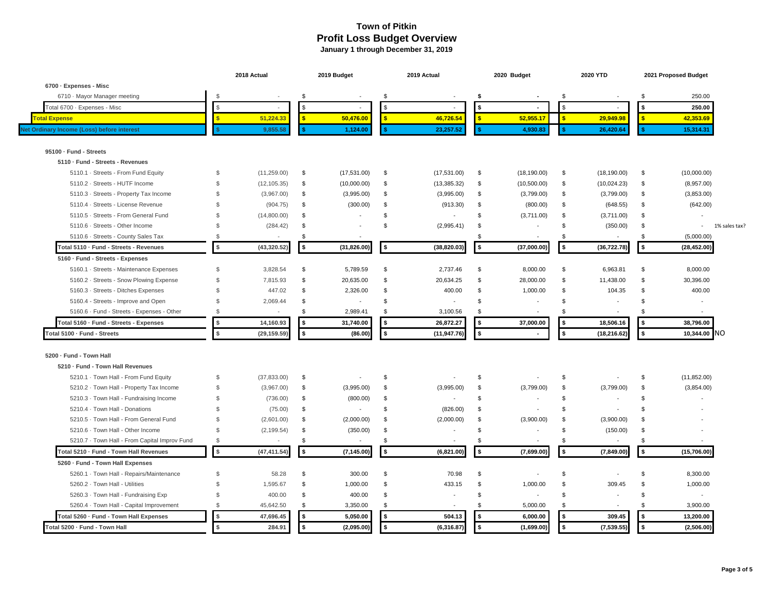|                                               |                | 2018 Actual  |                    | 2019 Budget              |            | 2019 Actual              |      | 2020 Budget              | 2020 YTD       |                          |            | 2021 Proposed Budget        |               |
|-----------------------------------------------|----------------|--------------|--------------------|--------------------------|------------|--------------------------|------|--------------------------|----------------|--------------------------|------------|-----------------------------|---------------|
| 6700 · Expenses - Misc                        |                |              |                    |                          |            |                          |      |                          |                |                          |            |                             |               |
| 6710 · Mayor Manager meeting                  | $\mathcal{S}$  |              | \$                 |                          | \$         |                          | -S   |                          | \$             |                          | \$         | 250.00                      |               |
| Total 6700 · Expenses - Misc                  | \$             | $\sim$       | \$                 | $\blacksquare$           | -S         | $\sim$                   |      | $\sim$                   | \$             |                          | \$         | 250.00                      |               |
| otal Expense                                  |                | 51,224.33    | s.                 | 50,476.00                |            | 46,726.54                |      | 52.955.17                | $\mathbf{R}$   | 29.949.98                | 乐          | 42,353.69                   |               |
| Net Ordinary Income (Loss) before interest    |                | 9.855.58     | Ś                  | 1,124.00                 |            | 23,257.52                |      | 4,930.83                 |                | 26,420.64                |            | 15,314.31                   |               |
| 95100 · Fund - Streets                        |                |              |                    |                          |            |                          |      |                          |                |                          |            |                             |               |
| 5110 · Fund - Streets - Revenues              |                |              |                    |                          |            |                          |      |                          |                |                          |            |                             |               |
| 5110.1 · Streets - From Fund Equity           | \$             | (11, 259.00) | \$                 | (17,531.00)              | \$         | (17,531.00)              | \$   | (18, 190.00)             | \$             | (18, 190.00)             | \$         | (10,000.00)                 |               |
| 5110.2 · Streets - HUTF Income                | \$             | (12, 105.35) | \$                 | (10,000.00)              | \$         | (13, 385.32)             | \$   | (10,500.00)              | \$             | (10,024.23)              | \$         | (8,957.00)                  |               |
| 5110.3 · Streets - Property Tax Income        | \$             | (3,967.00)   | \$                 | (3,995.00)               | \$         | (3,995.00)               | \$   | (3,799.00)               | \$             | (3,799.00)               | \$         | (3,853.00)                  |               |
| 5110.4 · Streets - License Revenue            | \$             | (904.75)     | \$                 | (300.00)                 | \$         | (913.30)                 | \$   | (800.00)                 | \$             | (648.55)                 | \$         | (642.00)                    |               |
| 5110.5 · Streets - From General Fund          | \$             | (14,800.00)  | \$                 | $\blacksquare$           | \$         | ÷,                       | \$   | (3,711.00)               | \$             | (3,711.00)               | \$         | $\overline{\phantom{a}}$    |               |
| 5110.6 · Streets - Other Income               | \$             | (284.42)     | \$                 |                          | \$         | (2,995.41)               | \$   |                          | \$             | (350.00)                 | \$         | $\sim$                      | 1% sales tax? |
| 5110.6 · Streets - County Sales Tax           | \$             |              | \$                 | $\sim$                   |            |                          | \$   |                          | \$             |                          | \$         | (5,000.00)                  |               |
| Total 5110 · Fund - Streets - Revenues        | $\sqrt{2}$     | (43, 320.52) | $\sqrt{2}$         | (31, 826.00)             | \$         | (38, 820.03)             | l \$ | (37,000.00)              | \$             | (36, 722.78)             | $\sqrt{2}$ | (28, 452.00)                |               |
| 5160 · Fund - Streets - Expenses              |                |              |                    |                          |            |                          |      |                          |                |                          |            |                             |               |
| 5160.1 · Streets - Maintenance Expenses       | ${\mathbb S}$  | 3,828.54     | \$                 | 5,789.59                 | \$         | 2,737.46                 | \$   | 8,000.00                 | \$             | 6,963.81                 | \$         | 8,000.00                    |               |
| 5160.2 · Streets - Snow Plowing Expense       | ${\mathbb S}$  | 7,815.93     | \$                 | 20,635.00                | \$         | 20,634.25                | \$   | 28,000.00                | \$             | 11,438.00                | \$         | 30,396.00                   |               |
| 5160.3 · Streets - Ditches Expenses           | \$             | 447.02       | \$                 | 2,326.00                 | \$         | 400.00                   | \$   | 1,000.00                 | \$             | 104.35                   | \$         | 400.00                      |               |
| 5160.4 - Streets - Improve and Open           | \$             | 2,069.44     | \$                 | $\blacksquare$           | \$         |                          | \$   |                          | \$             |                          | \$         |                             |               |
| 5160.6 · Fund - Streets - Expenses - Other    | £.             |              | $\mathbf{\hat{f}}$ | 2,989.41                 | \$.        | 3,100.56                 | \$   |                          | $\mathfrak{L}$ |                          | \$         |                             |               |
| Total 5160 · Fund - Streets - Expenses        | \$             | 14,160.93    | \$                 | 31,740.00                | s.         | 26,872.27                | \$   | 37,000.00                | \$             | 18,506.16                | l \$       | 38,796.00                   |               |
| Total 5100 · Fund - Streets                   | $$\mathsf{s}$$ | (29,159.59   | \$                 | (86.00)                  | $\sqrt{2}$ | (11, 947.76)             | \$   | $\sim$                   | \$             | (18, 216.62)             | \$         | N <sub>O</sub><br>10,344.00 |               |
| 5200 · Fund - Town Hall                       |                |              |                    |                          |            |                          |      |                          |                |                          |            |                             |               |
| 5210 · Fund - Town Hall Revenues              |                |              |                    |                          |            |                          |      |                          |                |                          |            |                             |               |
| 5210.1 · Town Hall - From Fund Equity         | \$             | (37, 833.00) | \$                 |                          | \$         |                          | \$   |                          | \$             |                          | \$         | (11, 852.00)                |               |
| 5210.2 · Town Hall - Property Tax Income      | \$             | (3,967.00)   | \$                 | (3,995.00)               | \$         | (3,995.00)               | \$   | (3,799.00)               | \$             | (3,799.00)               | \$         | (3,854.00)                  |               |
| 5210.3 · Town Hall - Fundraising Income       | ${\mathbb S}$  | (736.00)     | \$                 | (800.00)                 | \$         |                          | \$   |                          | \$             |                          | \$         |                             |               |
| 5210.4 · Town Hall - Donations                | ${\mathbb S}$  | (75.00)      | \$                 | $\overline{\phantom{a}}$ | \$         | (826.00)                 | \$   |                          | \$             |                          | \$         |                             |               |
| 5210.5 · Town Hall - From General Fund        | \$             | (2,601.00)   | \$                 | (2,000.00)               | \$         | (2,000.00)               | \$   | (3,900.00)               | \$             | (3,900.00)               | \$         |                             |               |
| 5210.6 · Town Hall - Other Income             | $\mathcal{S}$  | (2, 199.54)  | \$                 | (350.00)                 | \$         | $\overline{\phantom{a}}$ | \$   |                          | \$             | (150.00)                 | \$         |                             |               |
| 5210.7 · Town Hall - From Capital Improv Fund | \$             | $\sim$       | \$                 |                          | \$         | $\sim$                   | \$   |                          | \$             |                          | \$         |                             |               |
| Total 5210 · Fund - Town Hall Revenues        | $$$            | (47, 411.54) | \$                 | (7, 145.00)              | \$         | (6,821.00)               | \$   | (7,699.00)               | \$             | (7, 849.00)              | $\sqrt{2}$ | (15,706.00)                 |               |
| 5260 - Fund - Town Hall Expenses              |                |              |                    |                          |            |                          |      |                          |                |                          |            |                             |               |
| 5260.1 · Town Hall - Repairs/Maintenance      | \$             | 58.28        | \$                 | 300.00                   | \$         | 70.98                    | \$   |                          | \$             |                          | \$         | 8,300.00                    |               |
| 5260.2 · Town Hall - Utilities                | \$             | 1,595.67     | \$                 | 1,000.00                 | \$         | 433.15                   | \$   | 1,000.00                 | \$             | 309.45                   | <b>S</b>   | 1,000.00                    |               |
| 5260.3 · Town Hall - Fundraising Exp          | \$             | 400.00       | \$                 | 400.00                   | \$         | $\overline{\phantom{a}}$ | \$   | $\overline{\phantom{a}}$ | \$             |                          | \$         |                             |               |
| 5260.4 · Town Hall - Capital Improvement      | \$             | 45,642.50    | \$                 | 3,350.00                 | \$         | $\overline{\phantom{a}}$ | \$   | 5,000.00                 | \$             | $\overline{\phantom{a}}$ | \$         | 3,900.00                    |               |
|                                               |                |              | \$                 |                          | 5          |                          |      |                          | \$             |                          | $\sqrt{2}$ | 13,200.00                   |               |
| Total 5260 · Fund - Town Hall Expenses        | $\frac{1}{2}$  | 47,696.45    |                    | 5,050.00                 |            | 504.13                   | \$   | 6,000.00                 |                | 309.45                   |            |                             |               |
| Total 5200 · Fund - Town Hall                 | \$             | 284.91       | \$                 | (2,095.00)               | \$         | (6, 316.87)              | \$   | (1,699.00)               | \$             | (7, 539.55)              | \$         | (2,506.00)                  |               |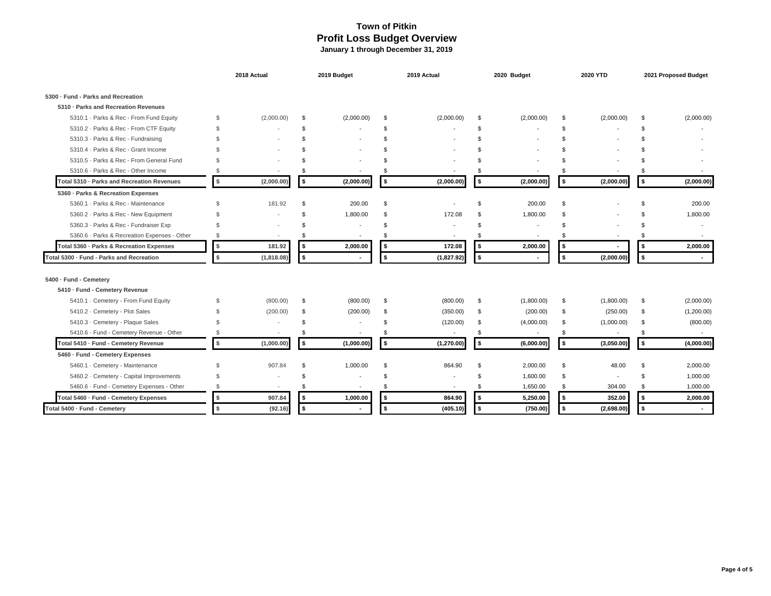|                                              |                | 2018 Actual |     | 2019 Budget    |           | 2019 Actual |      | 2020 Budget              |                | 2020 YTD   | 2021 Proposed Budget |            |
|----------------------------------------------|----------------|-------------|-----|----------------|-----------|-------------|------|--------------------------|----------------|------------|----------------------|------------|
| 5300 · Fund - Parks and Recreation           |                |             |     |                |           |             |      |                          |                |            |                      |            |
| 5310 · Parks and Recreation Revenues         |                |             |     |                |           |             |      |                          |                |            |                      |            |
| 5310.1 · Parks & Rec - From Fund Equity      | \$             | (2,000.00)  | \$  | (2,000.00)     | \$        | (2,000.00)  | -\$  | (2,000.00)               | \$             | (2,000.00) | \$                   | (2,000.00) |
| 5310.2 - Parks & Rec - From CTF Equity       | \$             |             | \$. |                | \$        |             | - \$ |                          | \$.            |            | \$.                  |            |
| 5310.3 - Parks & Rec - Fundraising           | \$             |             | \$. |                |           |             |      |                          | \$.            |            |                      |            |
| 5310.4 · Parks & Rec - Grant Income          | \$             |             |     |                |           |             |      |                          |                |            |                      |            |
| 5310.5 · Parks & Rec - From General Fund     | \$             |             |     |                |           |             |      |                          |                |            |                      |            |
| 5310.6 · Parks & Rec - Other Income          | \$             |             |     |                |           |             |      |                          | \$.            |            |                      |            |
| Total 5310 · Parks and Recreation Revenues   | \$             | (2,000.00)  | \$  | (2,000.00)     | <b>\$</b> | (2,000.00)  | \$   | (2,000.00)               | \$             | (2,000.00) | \$                   | (2,000.00) |
| 5360 - Parks & Recreation Expenses           |                |             |     |                |           |             |      |                          |                |            |                      |            |
| 5360.1 · Parks & Rec - Maintenance           | \$             | 181.92      | \$  | 200.00         | \$        |             | \$.  | 200.00                   | \$             |            |                      | 200.00     |
| 5360.2 · Parks & Rec - New Equipment         | \$             |             | \$. | 1,800.00       | \$        | 172.08      | \$.  | 1,800.00                 | \$.            |            |                      | 1,800.00   |
| 5360.3 · Parks & Rec - Fundraiser Exp        | $\mathfrak{L}$ |             | \$  |                | \$        |             | \$.  |                          | $\mathfrak{L}$ |            |                      |            |
| 5360.6 · Parks & Recreation Expenses - Other | \$             | $\sim$      | \$. |                | \$        |             | S.   | $\overline{\phantom{a}}$ | \$             |            |                      |            |
| Total 5360 · Parks & Recreation Expenses     | \$             | 181.92      | \$  | 2,000.00       | \$        | 172.08      | \$   | 2,000.00                 | \$             |            | \$                   | 2,000.00   |
| Total 5300 · Fund - Parks and Recreation     | \$             | (1,818.08)  | \$  |                | \$        | (1,827.92)  | 5    |                          | \$             | (2,000.00) | \$                   |            |
| 5400 · Fund - Cemetery                       |                |             |     |                |           |             |      |                          |                |            |                      |            |
| 5410 · Fund - Cemetery Revenue               |                |             |     |                |           |             |      |                          |                |            |                      |            |
| 5410.1 · Cemetery - From Fund Equity         | \$             | (800.00)    | \$  | (800.00)       | - \$      | (800.00)    | -\$  | (1,800.00)               | \$             | (1,800.00) | \$                   | (2,000.00) |
| 5410.2 · Cemetery - Plot Sales               | \$             | (200.00)    | \$  | (200.00)       | \$        | (350.00)    | -\$  | (200.00)                 | \$             | (250.00)   | \$                   | (1,200.00) |
| 5410.3 · Cemetery - Plaque Sales             | \$             |             | \$  | $\blacksquare$ | \$        | (120.00)    | \$   | (4,000.00)               | \$             | (1,000.00) | \$                   | (800.00)   |
| 5410.6 · Fund - Cemetery Revenue - Other     | \$             |             | \$. |                | \$        |             | \$   |                          | \$             |            | \$                   |            |
| Total 5410 · Fund - Cemetery Revenue         | \$             | (1,000.00)  | \$  | (1,000.00)     | \$        | (1, 270.00) | 5    | (6,000.00)               | \$             | (3,050.00) | \$                   | (4,000.00) |
| 5460 · Fund - Cemetery Expenses              |                |             |     |                |           |             |      |                          |                |            |                      |            |
| 5460.1 · Cemetery - Maintenance              | \$             | 907.84      | \$  | 1,000.00       | \$        | 864.90      | - \$ | 2,000.00                 | \$             | 48.00      | \$.                  | 2,000.00   |
| 5460.2 · Cemetery - Capital Improvements     | \$             |             | \$  |                | \$        |             | \$.  | 1,600.00                 | \$             |            | \$                   | 1,000.00   |
| 5460.6 · Fund - Cemetery Expenses - Other    | \$             |             | \$. |                | \$        |             |      | 1,650.00                 | \$             | 304.00     | \$                   | 1,000.00   |
| Total 5460 · Fund - Cemetery Expenses        | \$             | 907.84      | \$  | 1,000.00       | \$        | 864.90      | \$   | 5,250.00                 | \$             | 352.00     | \$                   | 2,000.00   |
| Total 5400 · Fund - Cemetery                 | \$             | (92.16)     | \$  |                | \$        | (405.10)    | \$   | (750.00)                 | \$             | (2,698.00) | \$                   |            |